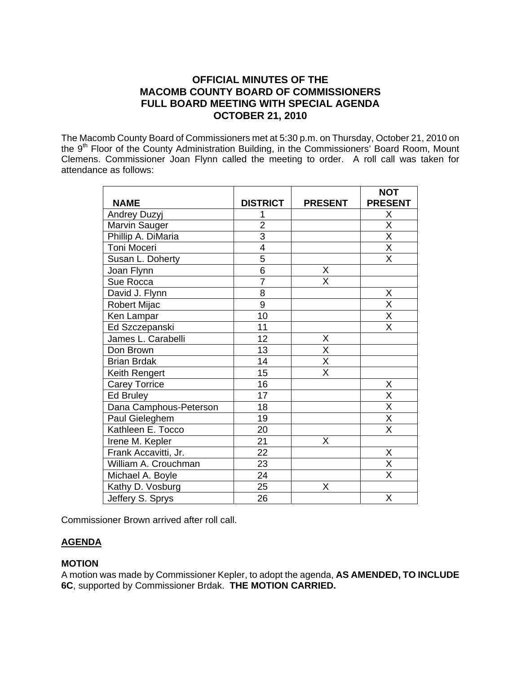# **OFFICIAL MINUTES OF THE MACOMB COUNTY BOARD OF COMMISSIONERS FULL BOARD MEETING WITH SPECIAL AGENDA OCTOBER 21, 2010**

The Macomb County Board of Commissioners met at 5:30 p.m. on Thursday, October 21, 2010 on the Massims Searry Board of Seministration Building, in the Commissioners' Board Room, Mount Clemens. Commissioner Joan Flynn called the meeting to order. A roll call was taken for attendance as follows:

|                        |                 |                         | <b>NOT</b>                          |
|------------------------|-----------------|-------------------------|-------------------------------------|
| <b>NAME</b>            | <b>DISTRICT</b> | <b>PRESENT</b>          | <b>PRESENT</b>                      |
| Andrey Duzyj           | 1               |                         | Χ                                   |
| Marvin Sauger          | $\overline{2}$  |                         | $\frac{\overline{X}}{\overline{X}}$ |
| Phillip A. DiMaria     | $\overline{3}$  |                         |                                     |
| Toni Moceri            | $\overline{4}$  |                         | $\overline{\mathsf{x}}$             |
| Susan L. Doherty       | 5               |                         | $\overline{\mathsf{x}}$             |
| Joan Flynn             | 6               | X                       |                                     |
| Sue Rocca              | $\overline{7}$  | X                       |                                     |
| David J. Flynn         | 8               |                         | Χ                                   |
| Robert Mijac           | 9               |                         | $\overline{\mathsf{x}}$             |
| Ken Lampar             | 10              |                         | $\overline{\mathsf{X}}$             |
| Ed Szczepanski         | 11              |                         | $\overline{\sf x}$                  |
| James L. Carabelli     | 12              | X                       |                                     |
| Don Brown              | 13              | $\overline{\mathsf{x}}$ |                                     |
| <b>Brian Brdak</b>     | 14              | $\overline{\mathsf{x}}$ |                                     |
| Keith Rengert          | 15              | X                       |                                     |
| <b>Carey Torrice</b>   | 16              |                         | X                                   |
| <b>Ed Bruley</b>       | 17              |                         | $\overline{\mathsf{x}}$             |
| Dana Camphous-Peterson | 18              |                         | $\overline{\mathsf{x}}$             |
| Paul Gieleghem         | 19              |                         | X                                   |
| Kathleen E. Tocco      | 20              |                         | $\overline{\mathsf{x}}$             |
| Irene M. Kepler        | 21              | X                       |                                     |
| Frank Accavitti, Jr.   | 22              |                         | X                                   |
| William A. Crouchman   | 23              |                         | Χ                                   |
| Michael A. Boyle       | 24              |                         | $\overline{\mathsf{x}}$             |
| Kathy D. Vosburg       | 25              | X                       |                                     |
| Jeffery S. Sprys       | 26              |                         | X                                   |

Commissioner Brown arrived after roll call.

## **AGENDA**

#### **MOTION**

A motion was made by Commissioner Kepler, to adopt the agenda, **AS AMENDED, TO INCLUDE 6C**, supported by Commissioner Brdak. **THE MOTION CARRIED.**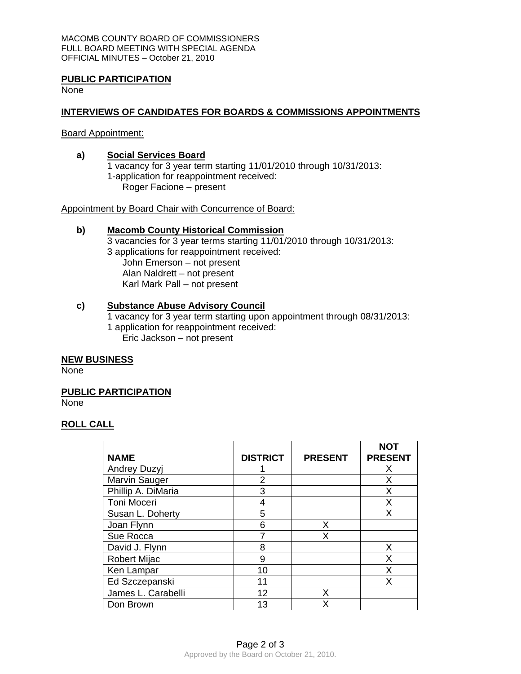MACOMB COUNTY BOARD OF COMMISSIONERS FULL BOARD MEETING WITH SPECIAL AGENDA OFFICIAL MINUTES – October 21, 2010

#### **PUBLIC PARTICIPATION**

None

### **INTERVIEWS OF CANDIDATES FOR BOARDS & COMMISSIONS APPOINTMENTS**

Board Appointment:

### **a) Social Services Board**

1 vacancy for 3 year term starting 11/01/2010 through 10/31/2013: 1-application for reappointment received: Roger Facione – present

Appointment by Board Chair with Concurrence of Board:

#### **b) Macomb County Historical Commission**

3 vacancies for 3 year terms starting 11/01/2010 through 10/31/2013: 3 applications for reappointment received: John Emerson – not present Alan Naldrett – not present Karl Mark Pall – not present

#### **c) Substance Abuse Advisory Council**

1 vacancy for 3 year term starting upon appointment through 08/31/2013: 1 application for reappointment received: Eric Jackson – not present

#### **NEW BUSINESS**

None

#### **PUBLIC PARTICIPATION**

None

## **ROLL CALL**

|                     |                 |                | <b>NOT</b>     |
|---------------------|-----------------|----------------|----------------|
| <b>NAME</b>         | <b>DISTRICT</b> | <b>PRESENT</b> | <b>PRESENT</b> |
| <b>Andrey Duzyj</b> |                 |                | х              |
| Marvin Sauger       | 2               |                | x              |
| Phillip A. DiMaria  | 3               |                | X              |
| Toni Moceri         | 4               |                | X              |
| Susan L. Doherty    | 5               |                | X              |
| Joan Flynn          | 6               | x              |                |
| Sue Rocca           |                 | х              |                |
| David J. Flynn      | 8               |                | X              |
| <b>Robert Mijac</b> | 9               |                | X              |
| Ken Lampar          | 10              |                | x              |
| Ed Szczepanski      | 11              |                | X              |
| James L. Carabelli  | 12              | х              |                |
| Don Brown           | 13              | x              |                |